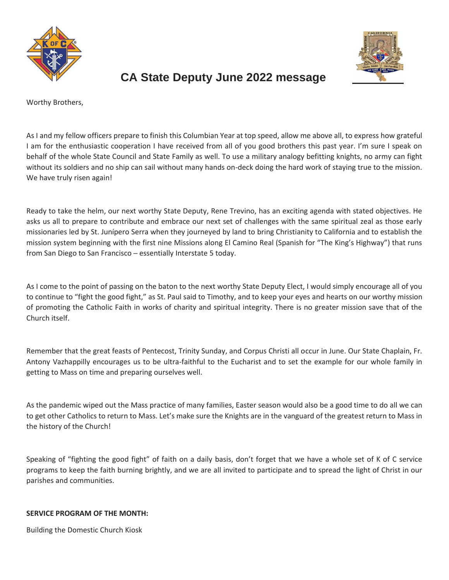



# **CA State Deputy June 2022 message**

Worthy Brothers,

As I and my fellow officers prepare to finish this Columbian Year at top speed, allow me above all, to express how grateful I am for the enthusiastic cooperation I have received from all of you good brothers this past year. I'm sure I speak on behalf of the whole State Council and State Family as well. To use a military analogy befitting knights, no army can fight without its soldiers and no ship can sail without many hands on-deck doing the hard work of staying true to the mission. We have truly risen again!

Ready to take the helm, our next worthy State Deputy, Rene Trevino, has an exciting agenda with stated objectives. He asks us all to prepare to contribute and embrace our next set of challenges with the same spiritual zeal as those early missionaries led by St. Junípero Serra when they journeyed by land to bring Christianity to California and to establish the mission system beginning with the first nine Missions along El Camino Real (Spanish for "The King's Highway") that runs from San Diego to San Francisco - essentially Interstate 5 today.

As I come to the point of passing on the baton to the next worthy State Deputy Elect, I would simply encourage all of you to continue to "fight the good fight," as St. Paul said to Timothy, and to keep your eyes and hearts on our worthy mission of promoting the Catholic Faith in works of charity and spiritual integrity. There is no greater mission save that of the Church itself.

Remember that the great feasts of Pentecost, Trinity Sunday, and Corpus Christi all occur in June. Our State Chaplain, Fr. Antony Vazhappilly encourages us to be ultra-faithful to the Eucharist and to set the example for our whole family in getting to Mass on time and preparing ourselves well.

As the pandemic wiped out the Mass practice of many families, Easter season would also be a good time to do all we can to get other Catholics to return to Mass. Let's make sure the Knights are in the vanguard of the greatest return to Mass in the history of the Church!

Speaking of "fighting the good fight" of faith on a daily basis, don't forget that we have a whole set of K of C service programs to keep the faith burning brightly, and we are all invited to participate and to spread the light of Christ in our parishes and communities.

# **SERVICE PROGRAM OF THE MONTH:**

Building the Domestic Church Kiosk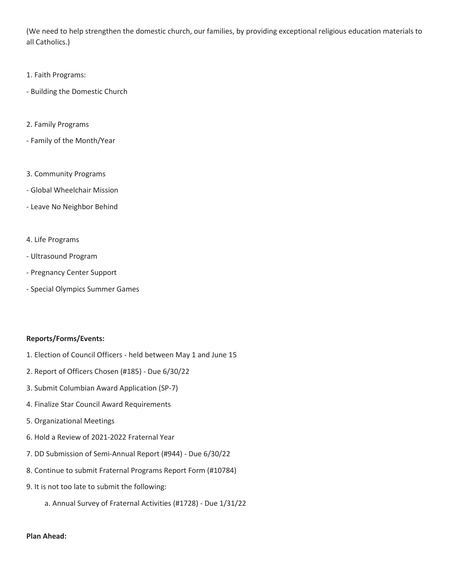(We need to help strengthen the domestic church, our families, by providing exceptional religious education materials to all Catholics.)

- 1. Faith Programs:
- Building the Domestic Church
- 2. Family Programs
- Family of the Month/Year
- 3. Community Programs
- Global Wheelchair Mission
- Leave No Neighbor Behind
- 4. Life Programs
- Ultrasound Program
- Pregnancy Center Support
- Special Olympics Summer Games

### **Reports/Forms/Events:**

- 1. Election of Council Officers held between May 1 and June 15
- 2. Report of Officers Chosen (#185) Due 6/30/22
- 3. Submit Columbian Award Application (SP-7)
- 4. Finalize Star Council Award Requirements
- 5. Organizational Meetings
- 6. Hold a Review of 2021-2022 Fraternal Year
- 7. DD Submission of Semi-Annual Report (#944) Due 6/30/22
- 8. Continue to submit Fraternal Programs Report Form (#10784)
- 9. It is not too late to submit the following:
	- a. Annual Survey of Fraternal Activities (#1728) Due 1/31/22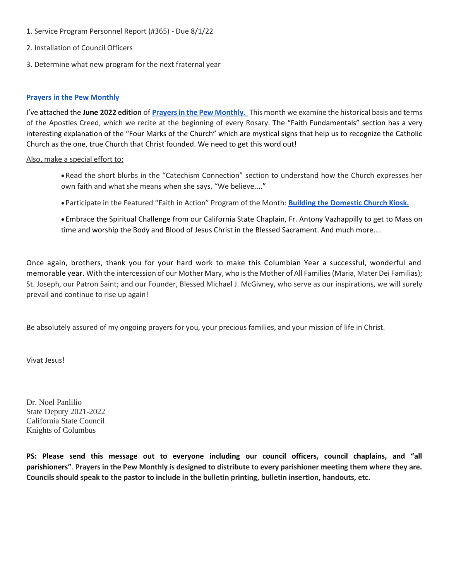- 1. Service Program Personnel Report (#365) Due 8/1/22
- 2. Installation of Council Officers
- 3. Determine what new program for the next fraternal year

#### **[Prayers in the Pew Monthly](https://secureservercdn.net/198.71.233.106/mml.507.myftpupload.com/wp-content/uploads/2022/05/PIP-NL-2022-Jun.pdf)**

I've attached the **June 2022 edition** of **[Prayers in the Pew Monthly.](https://secureservercdn.net/198.71.233.106/mml.507.myftpupload.com/wp-content/uploads/2022/05/PIP-NL-2022-Jun.pdf)** This month we examine the historical basis and terms of the Apostles Creed, which we recite at the beginning of every Rosary. The "Faith Fundamentals" section has a very interesting explanation of the "Four Marks of the Church" which are mystical signs that help us to recognize the Catholic Church as the one, true Church that Christ founded. We need to get this word out!

#### Also, make a special effort to:

- Read the short blurbs in the "Catechism Connection" section to understand how the Church expresses her own faith and what she means when she says, "We believe...."
- Participate in the Featured "Faith in Action" Program of the Month: **[Building the Domestic Church Kiosk.](https://secureservercdn.net/198.71.233.106/mml.507.myftpupload.com/wp-content/uploads/2022/05/PIP-NL-2022-Jun.pdf)**
- Embrace the Spiritual Challenge from our California State Chaplain, Fr. Antony Vazhappilly to get to Mass on time and worship the Body and Blood of Jesus Christ in the Blessed Sacrament. And much more....

Once again, brothers, thank you for your hard work to make this Columbian Year a successful, wonderful and memorable year. With the intercession of our Mother Mary, who is the Mother of All Families (Maria, Mater Dei Familias); St. Joseph, our Patron Saint; and our Founder, Blessed Michael J. McGivney, who serve as our inspirations, we will surely prevail and continue to rise up again!

Be absolutely assured of my ongoing prayers for you, your precious families, and your mission of life in Christ.

Vivat Jesus!

Dr. Noel Panlilio State Deputy 2021-2022 California State Council Knights of Columbus

**PS: Please send this message out to everyone including our council officers, council chaplains, and "all parishioners"**. **Prayers in the Pew Monthly is designed to distribute to every parishioner meeting them where they are. Councils should speak to the pastor to include in the bulletin printing, bulletin insertion, handouts, etc.**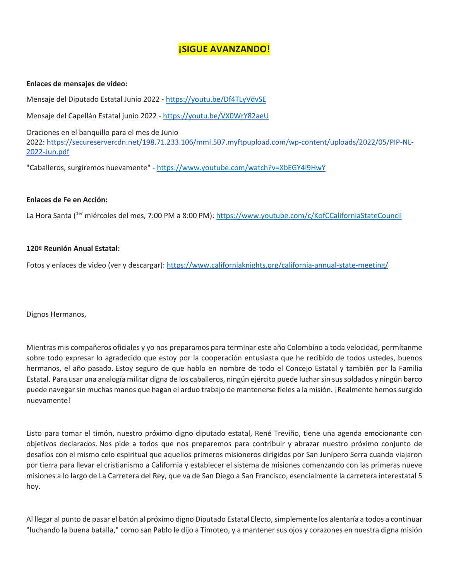# **¡SIGUE AVANZANDO!**

#### **Enlaces de mensajes de video:**

Mensaje del Diputado Estatal Junio 2022 - <https://youtu.be/Df4TLyVdvSE>

Mensaje del Capellán Estatal junio 2022 - <https://youtu.be/VX0WrY82aeU>

Oraciones en el banquillo para el mes de Junio 2022: [https://secureservercdn.net/198.71.233.106/mml.507.myftpupload.com/wp-content/uploads/2022/05/PIP-NL-](https://secureservercdn.net/198.71.233.106/mml.507.myftpupload.com/wp-content/uploads/2022/05/PIP-NL-2022-Jun.pdf)[2022-Jun.pdf](https://secureservercdn.net/198.71.233.106/mml.507.myftpupload.com/wp-content/uploads/2022/05/PIP-NL-2022-Jun.pdf)

"Caballeros, surgiremos nuevamente" - <https://www.youtube.com/watch?v=XbEGY4i9HwY>

#### **Enlaces de Fe en Acción:**

La Hora Santa (1er miércoles del mes, 7:00 PM a 8:00 PM): <https://www.youtube.com/c/KofCCaliforniaStateCouncil>

### **120ª Reunión Anual Estatal:**

Fotos y enlaces de video (ver y descargar): <https://www.californiaknights.org/california-annual-state-meeting/>

Dignos Hermanos,

Mientras mis compañeros oficiales y yo nos preparamos para terminar este año Colombino a toda velocidad, permítanme sobre todo expresar lo agradecido que estoy por la cooperación entusiasta que he recibido de todos ustedes, buenos hermanos, el año pasado. Estoy seguro de que hablo en nombre de todo el Concejo Estatal y también por la Familia Estatal. Para usar una analogía militar digna de los caballeros, ningún ejército puede luchar sin sus soldados y ningún barco puede navegar sin muchas manos que hagan el arduo trabajo de mantenerse fieles a la misión. ¡Realmente hemos surgido nuevamente!

Listo para tomar el timón, nuestro próximo digno diputado estatal, René Treviño, tiene una agenda emocionante con objetivos declarados. Nos pide a todos que nos preparemos para contribuir y abrazar nuestro próximo conjunto de desafíos con el mismo celo espiritual que aquellos primeros misioneros dirigidos por San Junípero Serra cuando viajaron por tierra para llevar el cristianismo a California y establecer el sistema de misiones comenzando con las primeras nueve misiones a lo largo de La Carretera del Rey, que va de San Diego a San Francisco, esencialmente la carretera interestatal 5 hoy.

Al llegar al punto de pasar el batón al próximo digno Diputado Estatal Electo, simplemente los alentaría a todos a continuar "luchando la buena batalla," como san Pablo le dijo a Timoteo, y a mantener sus ojos y corazones en nuestra digna misión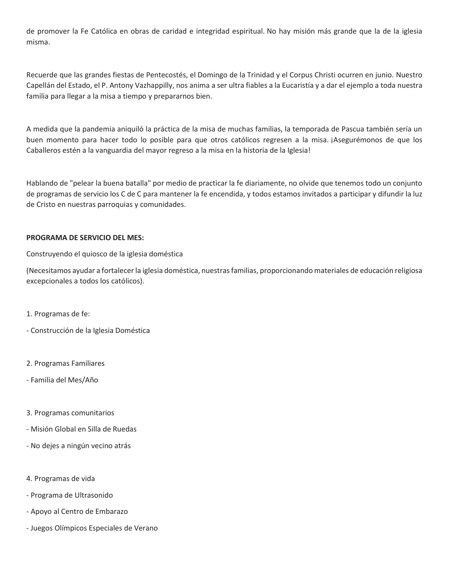de promover la Fe Católica en obras de caridad e integridad espiritual. No hay misión más grande que la de la iglesia misma.

Recuerde que las grandes fiestas de Pentecostés, el Domingo de la Trinidad y el Corpus Christi ocurren en junio. Nuestro Capellán del Estado, el P. Antony Vazhappilly, nos anima a ser ultra fiables a la Eucaristía y a dar el ejemplo a toda nuestra familia para llegar a la misa a tiempo y prepararnos bien.

A medida que la pandemia aniquiló la práctica de la misa de muchas familias, la temporada de Pascua también sería un buen momento para hacer todo lo posible para que otros católicos regresen a la misa. ¡Asegurémonos de que los Caballeros estén a la vanguardia del mayor regreso a la misa en la historia de la Iglesia!

Hablando de "pelear la buena batalla" por medio de practicar la fe diariamente, no olvide que tenemos todo un conjunto de programas de servicio los C de C para mantener la fe encendida, y todos estamos invitados a participar y difundir la luz de Cristo en nuestras parroquias y comunidades.

# **PROGRAMA DE SERVICIO DEL MES:**

Construyendo el quiosco de la iglesia doméstica

(Necesitamos ayudar a fortalecer la iglesia doméstica, nuestras familias, proporcionando materiales de educación religiosa excepcionales a todos los católicos).

- 1. Programas de fe:
- Construcción de la Iglesia Doméstica
- 2. Programas Familiares
- Familia del Mes/Año
- 3. Programas comunitarios
- Misión Global en Silla de Ruedas
- No dejes a ningún vecino atrás
- 4. Programas de vida
- Programa de Ultrasonido
- Apoyo al Centro de Embarazo
- Juegos Olímpicos Especiales de Verano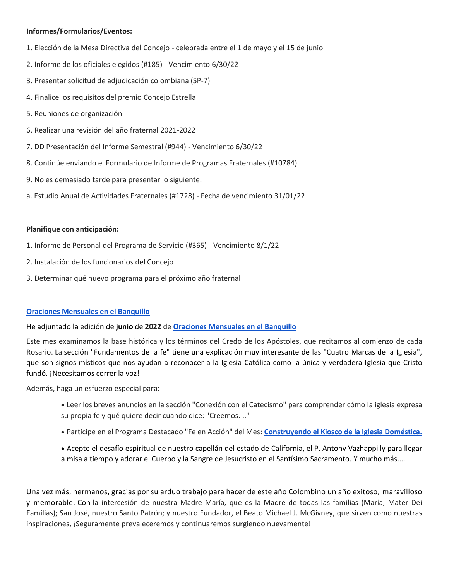# **Informes/Formularios/Eventos:**

- 1. Elección de la Mesa Directiva del Concejo celebrada entre el 1 de mayo y el 15 de junio
- 2. Informe de los oficiales elegidos (#185) Vencimiento 6/30/22
- 3. Presentar solicitud de adjudicación colombiana (SP-7)
- 4. Finalice los requisitos del premio Concejo Estrella
- 5. Reuniones de organización
- 6. Realizar una revisión del año fraternal 2021-2022
- 7. DD Presentación del Informe Semestral (#944) Vencimiento 6/30/22
- 8. Continúe enviando el Formulario de Informe de Programas Fraternales (#10784)
- 9. No es demasiado tarde para presentar lo siguiente:
- a. Estudio Anual de Actividades Fraternales (#1728) Fecha de vencimiento 31/01/22

### **Planifique con anticipación:**

- 1. Informe de Personal del Programa de Servicio (#365) Vencimiento 8/1/22
- 2. Instalación de los funcionarios del Concejo
- 3. Determinar qué nuevo programa para el próximo año fraternal

### **[Oraciones Mensuales en el Banquillo](https://secureservercdn.net/198.71.233.106/mml.507.myftpupload.com/wp-content/uploads/2022/05/PIP-NL-2022-Jun.pdf)**

### He adjuntado la edición de **junio** de **2022** de **[Oraciones Mensuales en el Banquillo](https://secureservercdn.net/198.71.233.106/mml.507.myftpupload.com/wp-content/uploads/2022/05/PIP-NL-2022-Jun.pdf)**

Este mes examinamos la base histórica y los términos del Credo de los Apóstoles, que recitamos al comienzo de cada Rosario. La sección "Fundamentos de la fe" tiene una explicación muy interesante de las "Cuatro Marcas de la Iglesia", que son signos místicos que nos ayudan a reconocer a la Iglesia Católica como la única y verdadera Iglesia que Cristo fundó. ¡Necesitamos correr la voz!

### Además, haga un esfuerzo especial para:

- Leer los breves anuncios en la sección "Conexión con el Catecismo" para comprender cómo la iglesia expresa su propia fe y qué quiere decir cuando dice: "Creemos. .."
- Participe en el Programa Destacado "Fe en Acción" del Mes: **[Construyendo el Kiosco de la Iglesia Doméstica.](https://secureservercdn.net/198.71.233.106/mml.507.myftpupload.com/wp-content/uploads/2022/05/PIP-NL-2022-Jun.pdf)**
- Acepte el desafío espiritual de nuestro capellán del estado de California, el P. Antony Vazhappilly para llegar a misa a tiempo y adorar el Cuerpo y la Sangre de Jesucristo en el Santísimo Sacramento. Y mucho más....

Una vez más, hermanos, gracias por su arduo trabajo para hacer de este año Colombino un año exitoso, maravilloso y memorable. Con la intercesión de nuestra Madre María, que es la Madre de todas las familias (María, Mater Dei Familias); San José, nuestro Santo Patrón; y nuestro Fundador, el Beato Michael J. McGivney, que sirven como nuestras inspiraciones, ¡Seguramente prevaleceremos y continuaremos surgiendo nuevamente!